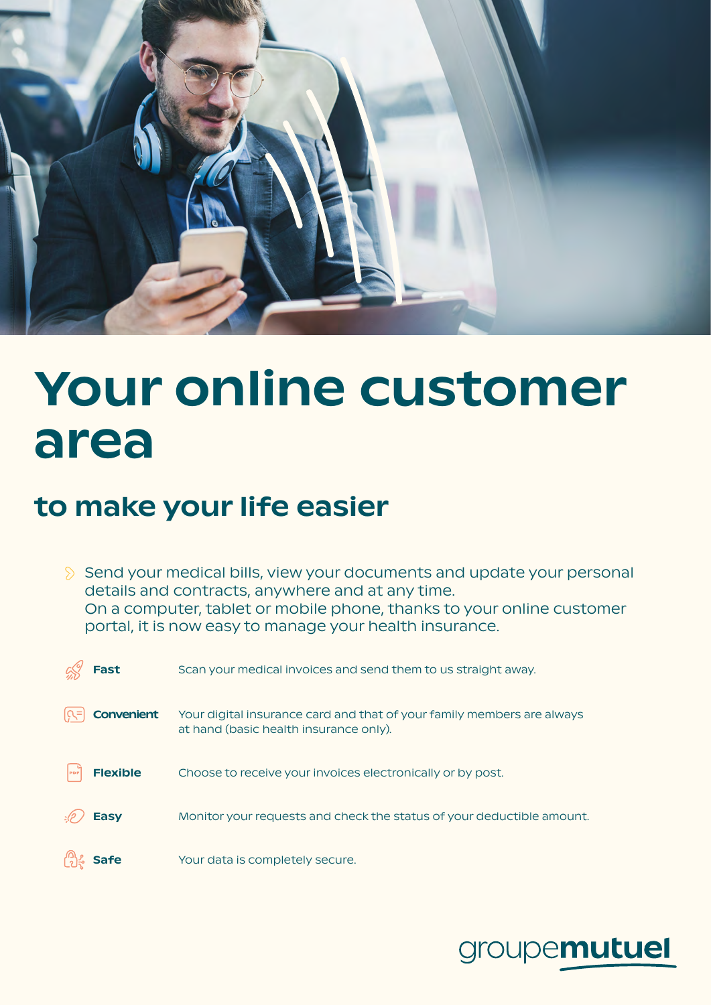

## Your online customer area

## to make your life easier

 $\Diamond$  Send your medical bills, view your documents and update your personal details and contracts, anywhere and at any time. On a computer, tablet or mobile phone, thanks to your online customer portal, it is now easy to manage your health insurance.

| <b>Fast</b>       | Scan your medical invoices and send them to us straight away.                                                    |
|-------------------|------------------------------------------------------------------------------------------------------------------|
| <b>Convenient</b> | Your digital insurance card and that of your family members are always<br>at hand (basic health insurance only). |
| <b>Flexible</b>   | Choose to receive your invoices electronically or by post.                                                       |
| <b>Easy</b>       | Monitor your requests and check the status of your deductible amount.                                            |
|                   | Your data is completely secure.                                                                                  |